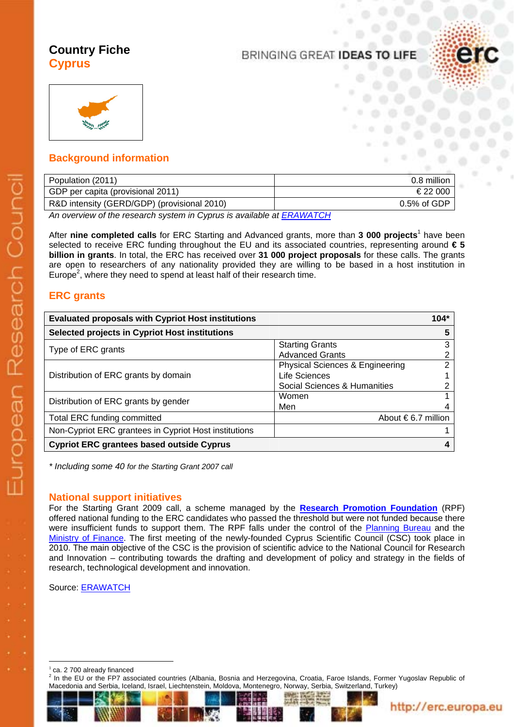# **Country Fiche Cyprus**

# BRINGING GREAT IDEAS TO LIFE





## **Background information**

| Population (2011)                           | 0.8 million    |
|---------------------------------------------|----------------|
| GDP per capita (provisional 2011)           | €22 000        |
| R&D intensity (GERD/GDP) (provisional 2010) | $0.5\%$ of GDP |

*An overview of the research system in Cyprus is available a[t ERAWATCH](http://erawatch.jrc.ec.europa.eu/erawatch/opencms/information/country_pages/cy/country)*

After nine completed calls for ERC Starting and Advanced grants, more than 3 000 projects<sup>1</sup> have been selected to receive ERC funding throughout the EU and its associated countries, representing around **€ 5 billion in grants**. In total, the ERC has received over **31 000 project proposals** for these calls. The grants are open to researchers of any nationality provided they are willing to be based in a host institution in Europe<sup>2</sup>, where they need to spend at least half of their research time.

## **ERC grants**

| <b>Evaluated proposals with Cypriot Host institutions</b> |                                            | $104*$ |
|-----------------------------------------------------------|--------------------------------------------|--------|
| Selected projects in Cypriot Host institutions            |                                            | 5      |
| Type of ERC grants                                        | <b>Starting Grants</b>                     | 3      |
|                                                           | <b>Advanced Grants</b>                     | ⌒      |
| Distribution of ERC grants by domain                      | <b>Physical Sciences &amp; Engineering</b> | 2      |
|                                                           | Life Sciences                              |        |
|                                                           | Social Sciences & Humanities               |        |
| Distribution of ERC grants by gender                      | Women                                      |        |
|                                                           | Men                                        |        |
| Total ERC funding committed                               | About $\epsilon$ 6.7 million               |        |
| Non-Cypriot ERC grantees in Cypriot Host institutions     |                                            |        |
| <b>Cypriot ERC grantees based outside Cyprus</b>          |                                            |        |

*\* Including some 40 for the Starting Grant 2007 call*

### **National support initiatives**

For the Starting Grant 2009 call, a scheme managed by the **[Research Promotion Foundation](http://www.research.org.cy/)** (RPF) offered national funding to the ERC candidates who passed the threshold but were not funded because there were insufficient funds to support them. The RPF falls under the control of the [Planning Bureau](http://www.planning.gov.cy/) and the [Ministry of Finance.](http://www.mof.gov.cy/) The first meeting of the newly-founded Cyprus Scientific Council (CSC) took place in 2010. The main objective of the CSC is the provision of scientific advice to the National Council for Research and Innovation – contributing towards the drafting and development of policy and strategy in the fields of research, technological development and innovation.

Source[: ERAWATCH](http://erawatch.jrc.ec.europa.eu/erawatch/opencms/information/country_pages/cy/country?section=ResearchPolicy&subsection=RecentResearchPolicyDev)

 $1$  ca. 2 700 already financed

 $\overline{a}$ 

2 In the EU or the FP7 associated countries (Albania, Bosnia and Herzegovina, Croatia, Faroe Islands, Former Yugoslav Republic of Macedonia and Serbia, Iceland, Israel, Liechtenstein, Moldova, Montenegro, Norway, Serbia, Switzerland, Turkey)